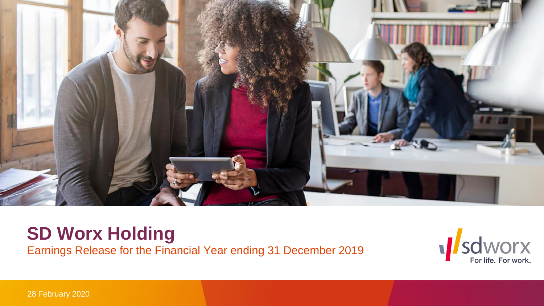

# **SD Worx Holding** Earnings Release for the Financial Year ending 31 December 2019



28 February 2020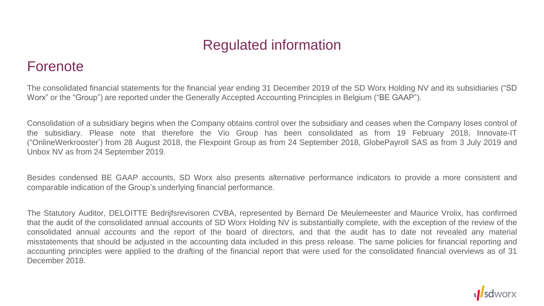# Regulated information

#### Forenote

The consolidated financial statements for the financial year ending 31 December 2019 of the SD Worx Holding NV and its subsidiaries ("SD Worx" or the "Group") are reported under the Generally Accepted Accounting Principles in Belgium ("BE GAAP").

Consolidation of a subsidiary begins when the Company obtains control over the subsidiary and ceases when the Company loses control of the subsidiary. Please note that therefore the Vio Group has been consolidated as from 19 February 2018, Innovate-IT ("OnlineWerkrooster') from 28 August 2018, the Flexpoint Group as from 24 September 2018, GlobePayroll SAS as from 3 July 2019 and Unbox NV as from 24 September 2019.

Besides condensed BE GAAP accounts, SD Worx also presents alternative performance indicators to provide a more consistent and comparable indication of the Group's underlying financial performance.

The Statutory Auditor, DELOITTE Bedrijfsrevisoren CVBA, represented by Bernard De Meulemeester and Maurice Vrolix, has confirmed that the audit of the consolidated annual accounts of SD Worx Holding NV is substantially complete, with the exception of the review of the consolidated annual accounts and the report of the board of directors, and that the audit has to date not revealed any material misstatements that should be adjusted in the accounting data included in this press release. The same policies for financial reporting and accounting principles were applied to the drafting of the financial report that were used for the consolidated financial overviews as of 31 December 2018.

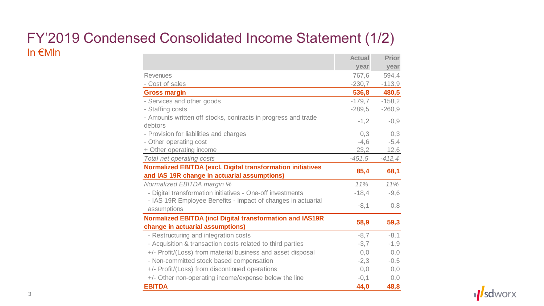#### FY'2019 Condensed Consolidated Income Statement (1/2) In €Mln **Actual Actual Prior**

|                                                                                                                    | Actual   | <b>Prior</b> |
|--------------------------------------------------------------------------------------------------------------------|----------|--------------|
|                                                                                                                    | year     | year         |
| <b>Revenues</b>                                                                                                    | 767,6    | 594.4        |
| - Cost of sales                                                                                                    | $-230,7$ | $-113,9$     |
| <b>Gross margin</b>                                                                                                | 536,8    | 480,5        |
| - Services and other goods                                                                                         | $-179,7$ | $-158,2$     |
| - Staffing costs                                                                                                   | $-289,5$ | $-260,9$     |
| - Amounts written off stocks, contracts in progress and trade                                                      | $-1,2$   | $-0,9$       |
| debtors                                                                                                            |          |              |
| - Provision for liabilities and charges                                                                            | 0,3      | 0,3          |
| - Other operating cost                                                                                             | $-4,6$   | $-5,4$       |
| + Other operating income                                                                                           | 23,2     | 12,6         |
| Total net operating costs                                                                                          | $-451,5$ | $-412,4$     |
| <b>Normalized EBITDA (excl. Digital transformation initiatives</b><br>and IAS 19R change in actuarial assumptions) | 85,4     | 68,1         |
| Normalized EBITDA margin %                                                                                         | 11%      | 11%          |
| - Digital transformation initiatives - One-off investments                                                         | $-18,4$  | $-9,6$       |
| - IAS 19R Employee Benefits - impact of changes in actuarial<br>assumptions                                        | $-8,1$   | 0,8          |
| <b>Normalized EBITDA (incl Digital transformation and IAS19R</b><br>change in actuarial assumptions)               | 58,9     | 59,3         |
| - Restructuring and integration costs                                                                              | $-8,7$   | $-8,1$       |
| - Acquisition & transaction costs related to third parties                                                         | $-3,7$   | $-1,9$       |
| +/- Profit/(Loss) from material business and asset disposal                                                        | 0, 0     | 0,0          |
| - Non-committed stock based compensation                                                                           | $-2,3$   | $-0,5$       |
| +/- Profit/(Loss) from discontinued operations                                                                     | 0, 0     | 0,0          |
| +/- Other non-operating income/expense below the line                                                              | $-0,1$   | 0,0          |
| <b>EBITDA</b>                                                                                                      | 44,0     | 48,8         |
|                                                                                                                    |          |              |

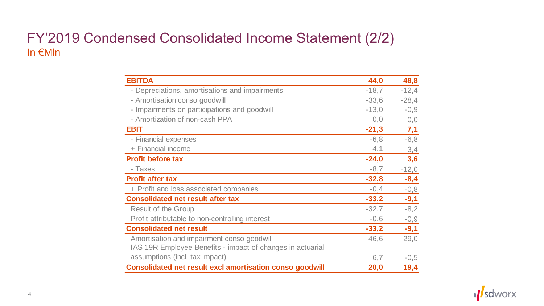### FY'2019 Condensed Consolidated Income Statement (2/2) In €Mln

| <b>EBITDA</b>                                                   | 44,0    | 48,8    |
|-----------------------------------------------------------------|---------|---------|
| - Depreciations, amortisations and impairments                  | $-18,7$ | $-12,4$ |
| - Amortisation conso goodwill                                   | $-33,6$ | $-28,4$ |
| - Impairments on participations and goodwill                    | $-13,0$ | $-0,9$  |
| - Amortization of non-cash PPA                                  | 0,0     | 0,0     |
| <b>EBIT</b>                                                     | $-21,3$ | 7,1     |
| - Financial expenses                                            | $-6,8$  | $-6,8$  |
| + Financial income                                              | 4,1     | 3,4     |
| <b>Profit before tax</b>                                        | $-24,0$ | 3,6     |
| - Taxes                                                         | $-8,7$  | $-12,0$ |
| <b>Profit after tax</b>                                         | $-32,8$ | $-8,4$  |
| + Profit and loss associated companies                          | $-0,4$  | $-0,8$  |
| <b>Consolidated net result after tax</b>                        | $-33,2$ | $-9,1$  |
| <b>Result of the Group</b>                                      | $-32,7$ | $-8,2$  |
| Profit attributable to non-controlling interest                 | $-0,6$  | $-0,9$  |
| <b>Consolidated net result</b>                                  | $-33,2$ | $-9,1$  |
| Amortisation and impairment conso goodwill                      | 46,6    | 29,0    |
| IAS 19R Employee Benefits - impact of changes in actuarial      |         |         |
| assumptions (incl. tax impact)                                  | 6,7     | $-0,5$  |
| <b>Consolidated net result excl amortisation conso goodwill</b> | 20,0    | 19,4    |

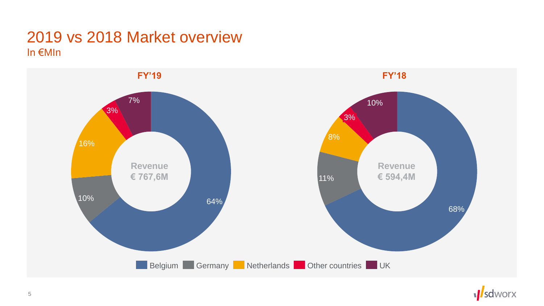## 2019 vs 2018 Market overview In €MIn



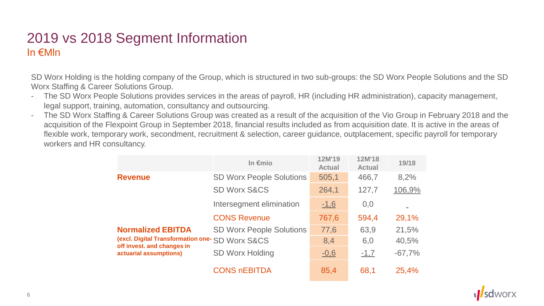#### 2019 vs 2018 Segment Information In €Mln

SD Worx Holding is the holding company of the Group, which is structured in two sub-groups: the SD Worx People Solutions and the SD Worx Staffing & Career Solutions Group.

- The SD Worx People Solutions provides services in the areas of payroll, HR (including HR administration), capacity management, legal support, training, automation, consultancy and outsourcing.
- The SD Worx Staffing & Career Solutions Group was created as a result of the acquisition of the Vio Group in February 2018 and the acquisition of the Flexpoint Group in September 2018, financial results included as from acquisition date. It is active in the areas of flexible work, temporary work, secondment, recruitment & selection, career guidance, outplacement, specific payroll for temporary workers and HR consultancy.

|                                                                                                                                     | In $\epsilon$ mio               | 12M'19<br><b>Actual</b> | 12M'18<br><b>Actual</b> | 19/18    |
|-------------------------------------------------------------------------------------------------------------------------------------|---------------------------------|-------------------------|-------------------------|----------|
| <b>Revenue</b>                                                                                                                      | <b>SD Worx People Solutions</b> | 505,1                   | 466,7                   | 8,2%     |
|                                                                                                                                     | <b>SD Worx S&amp;CS</b>         | 264,1                   | 127,7                   | 106,9%   |
|                                                                                                                                     | Intersegment elimination        | $-1,6$                  | 0,0                     |          |
|                                                                                                                                     | <b>CONS Revenue</b>             | 767,6                   | 594,4                   | 29,1%    |
| <b>Normalized EBITDA</b><br>(excl. Digital Transformation one- SD WOrx S&CS<br>off invest. and changes in<br>actuarial assumptions) | <b>SD Worx People Solutions</b> | 77,6                    | 63,9                    | 21,5%    |
|                                                                                                                                     |                                 | 8,4                     | 6,0                     | 40,5%    |
|                                                                                                                                     | <b>SD Worx Holding</b>          | $-0,6$                  | $-1,7$                  | $-67,7%$ |
|                                                                                                                                     | <b>CONS REBITDA</b>             | 85,4                    | 68,1                    | 25,4%    |

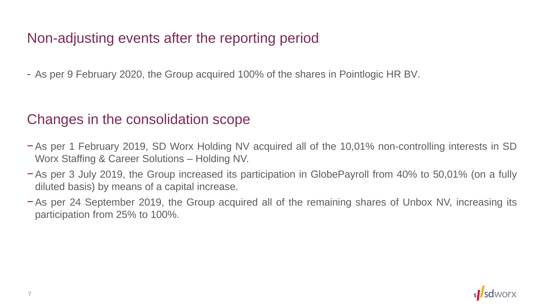# Non-adjusting events after the reporting period

- As per 9 February 2020, the Group acquired 100% of the shares in Pointlogic HR BV.

# Changes in the consolidation scope

- −As per 1 February 2019, SD Worx Holding NV acquired all of the 10,01% non-controlling interests in SD Worx Staffing & Career Solutions – Holding NV.
- −As per 3 July 2019, the Group increased its participation in GlobePayroll from 40% to 50,01% (on a fully diluted basis) by means of a capital increase.
- −As per 24 September 2019, the Group acquired all of the remaining shares of Unbox NV, increasing its participation from 25% to 100%.

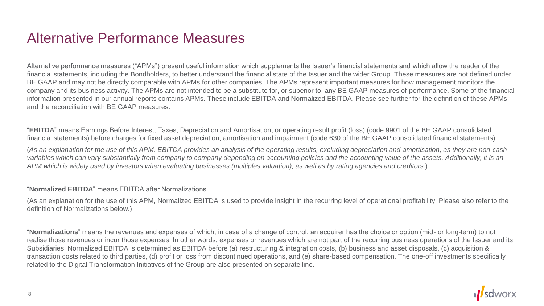## Alternative Performance Measures

Alternative performance measures ("APMs") present useful information which supplements the Issuer's financial statements and which allow the reader of the financial statements, including the Bondholders, to better understand the financial state of the Issuer and the wider Group. These measures are not defined under BE GAAP and may not be directly comparable with APMs for other companies. The APMs represent important measures for how management monitors the company and its business activity. The APMs are not intended to be a substitute for, or superior to, any BE GAAP measures of performance. Some of the financial information presented in our annual reports contains APMs. These include EBITDA and Normalized EBITDA. Please see further for the definition of these APMs and the reconciliation with BE GAAP measures.

"**EBITDA**" means Earnings Before Interest, Taxes, Depreciation and Amortisation, or operating result profit (loss) (code 9901 of the BE GAAP consolidated financial statements) before charges for fixed asset depreciation, amortisation and impairment (code 630 of the BE GAAP consolidated financial statements).

(*As an explanation for the use of this APM, EBITDA provides an analysis of the operating results, excluding depreciation and amortisation, as they are non-cash variables which can vary substantially from company to company depending on accounting policies and the accounting value of the assets. Additionally, it is an APM which is widely used by investors when evaluating businesses (multiples valuation), as well as by rating agencies and creditors*.)

#### "**Normalized EBITDA**" means EBITDA after Normalizations.

(As an explanation for the use of this APM, Normalized EBITDA is used to provide insight in the recurring level of operational profitability. Please also refer to the definition of Normalizations below.)

"**Normalizations**" means the revenues and expenses of which, in case of a change of control, an acquirer has the choice or option (mid- or long-term) to not realise those revenues or incur those expenses. In other words, expenses or revenues which are not part of the recurring business operations of the Issuer and its Subsidiaries. Normalized EBITDA is determined as EBITDA before (a) restructuring & integration costs, (b) business and asset disposals, (c) acquisition & transaction costs related to third parties, (d) profit or loss from discontinued operations, and (e) share-based compensation. The one-off investments specifically related to the Digital Transformation Initiatives of the Group are also presented on separate line.

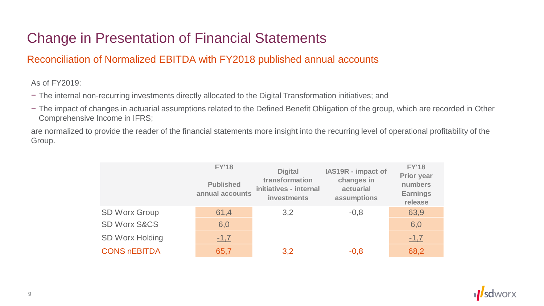# Change in Presentation of Financial Statements

#### Reconciliation of Normalized EBITDA with FY2018 published annual accounts

As of FY2019:

- − The internal non-recurring investments directly allocated to the Digital Transformation initiatives; and
- − The impact of changes in actuarial assumptions related to the Defined Benefit Obligation of the group, which are recorded in Other Comprehensive Income in IFRS;

are normalized to provide the reader of the financial statements more insight into the recurring level of operational profitability of the Group.

|                         | <b>FY'18</b><br><b>Published</b><br>annual accounts | <b>Digital</b><br>transformation<br>initiatives - internal<br><b>investments</b> | IAS19R - impact of<br>changes in<br>actuarial<br>assumptions | <b>FY'18</b><br><b>Prior year</b><br>numbers<br><b>Earnings</b><br>release |
|-------------------------|-----------------------------------------------------|----------------------------------------------------------------------------------|--------------------------------------------------------------|----------------------------------------------------------------------------|
| <b>SD Worx Group</b>    | 61,4                                                | 3,2                                                                              | $-0,8$                                                       | 63,9                                                                       |
| <b>SD Worx S&amp;CS</b> | 6,0                                                 |                                                                                  |                                                              | 6,0                                                                        |
| <b>SD Worx Holding</b>  | $-1,7$                                              |                                                                                  |                                                              | $-1,7$                                                                     |
| <b>CONS NEBITDA</b>     | 65,7                                                | 3,2                                                                              | $-0,8$                                                       | 68,2                                                                       |